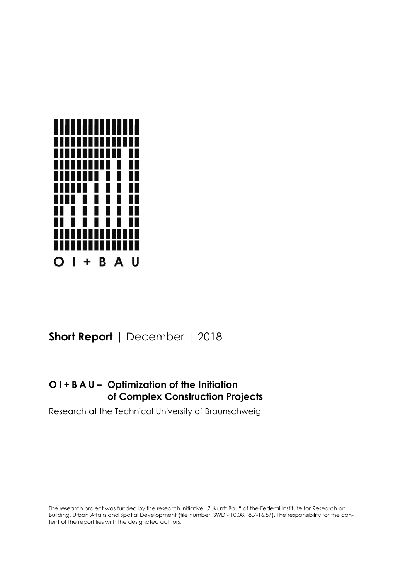

# **Short Report** | December | 2018

## **O I + B A U – Optimization of the Initiation of Complex Construction Projects**

Research at the Technical University of Braunschweig

The research project was funded by the research initiative "Zukunft Bau" of the Federal Institute for Research on Building, Urban Affairs and Spatial Development (file number: SWD - 10.08.18.7-16.57). The responsibility for the content of the report lies with the designated authors.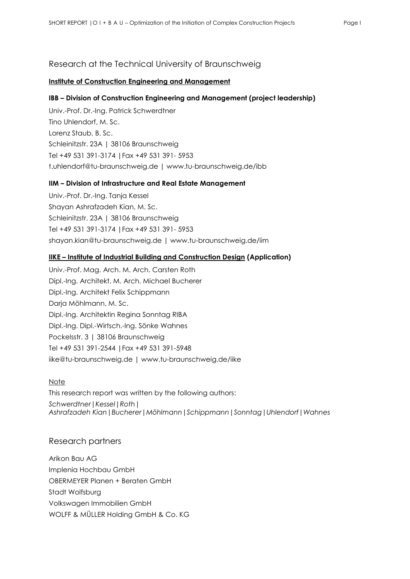### Research at the Technical University of Braunschweig

### **Institute of Construction Engineering and Management**

### **IBB – Division of Construction Engineering and Management (project leadership)**

Univ.-Prof. Dr.-Ing. Patrick Schwerdtner Tino Uhlendorf, M. Sc. Lorenz Staub, B. Sc. Schleinitzstr. 23A | 38106 Braunschweig Tel +49 531 391-3174 |Fax +49 531 391- 5953 t.uhlendorf@tu-braunschweig.de | www.tu-braunschweig.de/ibb

### **IIM – Division of Infrastructure and Real Estate Management**

Univ.-Prof. Dr.-Ing. Tanja Kessel Shayan Ashrafzadeh Kian, M. Sc. Schleinitzstr. 23A | 38106 Braunschweig Tel +49 531 391-3174 |Fax +49 531 391- 5953 shayan.kian@tu-braunschweig.de | www.tu-braunschweig.de/iim

### **IIKE – Institute of Industrial Building and Construction Design (Application)**

Univ.-Prof. Mag. Arch. M. Arch. Carsten Roth Dipl.-Ing. Architekt, M. Arch. Michael Bucherer Dipl.-Ing. Architekt Felix Schippmann Darja Möhlmann, M. Sc. Dipl.-Ing. Architektin Regina Sonntag RIBA Dipl.-Ing. Dipl.-Wirtsch.-Ing. Sönke Wahnes Pockelsstr. 3 | 38106 Braunschweig Tel +49 531 391-2544 |Fax +49 531 391-5948 iike@tu-braunschweig.de | www.tu-braunschweig.de/iike

### **Note**

This research report was written by the following authors: *Schwerdtner*|*Kessel*|*Roth*| *Ashrafzadeh Kian*|*Bucherer*|*Möhlmann*|*Schippmann*|*Sonntag*|*Uhlendorf*|*Wahnes*

### Research partners

Arikon Bau AG Implenia Hochbau GmbH OBERMEYER Planen + Beraten GmbH Stadt Wolfsburg Volkswagen Immobilien GmbH WOLFF & MÜLLER Holding GmbH & Co. KG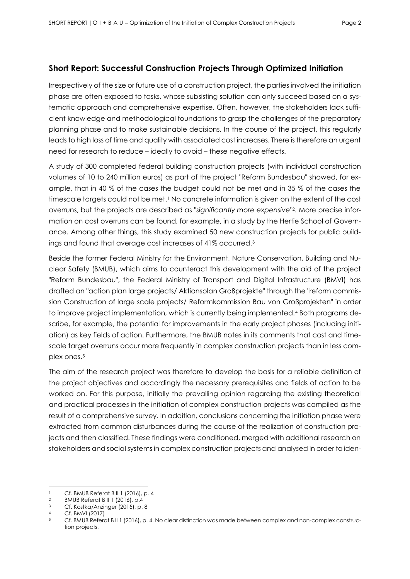### **Short Report: Successful Construction Projects Through Optimized Initiation**

Irrespectively of the size or future use of a construction project, the parties involved the initiation phase are often exposed to tasks, whose subsisting solution can only succeed based on a systematic approach and comprehensive expertise. Often, however, the stakeholders lack sufficient knowledge and methodological foundations to grasp the challenges of the preparatory planning phase and to make sustainable decisions. In the course of the project, this regularly leads to high loss of time and quality with associated cost increases. There is therefore an urgent need for research to reduce – ideally to avoid – these negative effects.

A study of 300 completed federal building construction projects (with individual construction volumes of 10 to 240 million euros) as part of the project "Reform Bundesbau" showed, for example, that in 40 % of the cases the budget could not be met and in 35 % of the cases the timescale targets could not be met.<sup>1</sup> No concrete information is given on the extent of the cost overruns, but the projects are described as "*significantly more expensive*" 2. More precise information on cost overruns can be found, for example, in a study by the Hertie School of Governance. Among other things, this study examined 50 new construction projects for public buildings and found that average cost increases of 41% occurred.<sup>3</sup>

Beside the former Federal Ministry for the Environment, Nature Conservation, Building and Nuclear Safety (BMUB), which aims to counteract this development with the aid of the project "Reform Bundesbau", the Federal Ministry of Transport and Digital Infrastructure (BMVI) has drafted an "action plan large projects/ Aktionsplan Großprojekte" through the "reform commission Construction of large scale projects/ Reformkommission Bau von Großprojekten" in order to improve project implementation, which is currently being implemented.<sup>4</sup> Both programs describe, for example, the potential for improvements in the early project phases (including initiation) as key fields of action. Furthermore, the BMUB notes in its comments that cost and timescale target overruns occur more frequently in complex construction projects than in less complex ones.<sup>5</sup>

The aim of the research project was therefore to develop the basis for a reliable definition of the project objectives and accordingly the necessary prerequisites and fields of action to be worked on. For this purpose, initially the prevailing opinion regarding the existing theoretical and practical processes in the initiation of complex construction projects was compiled as the result of a comprehensive survey. In addition, conclusions concerning the initiation phase were extracted from common disturbances during the course of the realization of construction projects and then classified. These findings were conditioned, merged with additional research on stakeholders and social systems in complex construction projects and analysed in order to iden-

 <sup>1</sup> Cf. BMUB Referat B II 1 (2016), p. 4<br><sup>2</sup> BMUB Poforat B II 1 (2014), p. 4

<sup>2</sup> BMUB Referat B II 1 (2016), p.4

<sup>3</sup> Cf. Kostka/Anzinger (2015), p. 8

<sup>4</sup> Cf. BMVI (2017)

<sup>5</sup> Cf. BMUB Referat B II 1 (2016), p. 4. No clear distinction was made between complex and non-complex construction projects.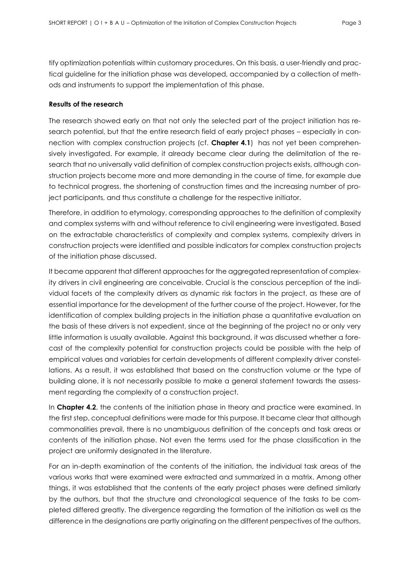tify optimization potentials within customary procedures. On this basis, a user-friendly and practical guideline for the initiation phase was developed, accompanied by a collection of methods and instruments to support the implementation of this phase.

### **Results of the research**

The research showed early on that not only the selected part of the project initiation has research potential, but that the entire research field of early project phases – especially in connection with complex construction projects (cf. **Chapter 4.1**) has not yet been comprehensively investigated. For example, it already became clear during the delimitation of the research that no universally valid definition of complex construction projects exists, although construction projects become more and more demanding in the course of time, for example due to technical progress, the shortening of construction times and the increasing number of project participants, and thus constitute a challenge for the respective initiator.

Therefore, in addition to etymology, corresponding approaches to the definition of complexity and complex systems with and without reference to civil engineering were investigated. Based on the extractable characteristics of complexity and complex systems, complexity drivers in construction projects were identified and possible indicators for complex construction projects of the initiation phase discussed.

It became apparent that different approaches for the aggregated representation of complexity drivers in civil engineering are conceivable. Crucial is the conscious perception of the individual facets of the complexity drivers as dynamic risk factors in the project, as these are of essential importance for the development of the further course of the project. However, for the identification of complex building projects in the initiation phase a quantitative evaluation on the basis of these drivers is not expedient, since at the beginning of the project no or only very little information is usually available. Against this background, it was discussed whether a forecast of the complexity potential for construction projects could be possible with the help of empirical values and variables for certain developments of different complexity driver constellations. As a result, it was established that based on the construction volume or the type of building alone, it is not necessarily possible to make a general statement towards the assessment regarding the complexity of a construction project.

In **Chapter 4.2**, the contents of the initiation phase in theory and practice were examined. In the first step, conceptual definitions were made for this purpose. It became clear that although commonalities prevail, there is no unambiguous definition of the concepts and task areas or contents of the initiation phase. Not even the terms used for the phase classification in the project are uniformly designated in the literature.

For an in-depth examination of the contents of the initiation, the individual task areas of the various works that were examined were extracted and summarized in a matrix. Among other things, it was established that the contents of the early project phases were defined similarly by the authors, but that the structure and chronological sequence of the tasks to be completed differed greatly. The divergence regarding the formation of the initiation as well as the difference in the designations are partly originating on the different perspectives of the authors.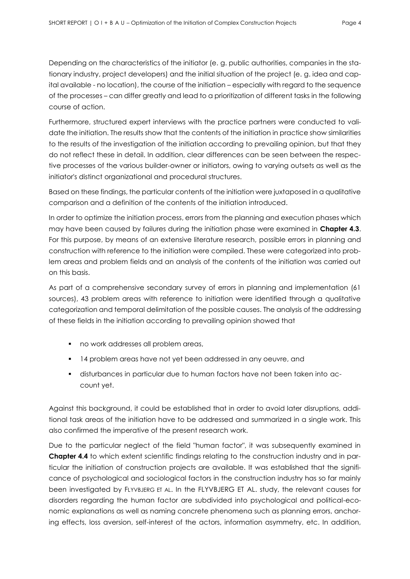Depending on the characteristics of the initiator (e. g. public authorities, companies in the stationary industry, project developers) and the initial situation of the project (e. g. idea and capital available - no location), the course of the initiation – especially with regard to the sequence of the processes – can differ greatly and lead to a prioritization of different tasks in the following course of action.

Furthermore, structured expert interviews with the practice partners were conducted to validate the initiation. The results show that the contents of the initiation in practice show similarities to the results of the investigation of the initiation according to prevailing opinion, but that they do not reflect these in detail. In addition, clear differences can be seen between the respective processes of the various builder-owner or initiators, owing to varying outsets as well as the initiator's distinct organizational and procedural structures.

Based on these findings, the particular contents of the initiation were juxtaposed in a qualitative comparison and a definition of the contents of the initiation introduced.

In order to optimize the initiation process, errors from the planning and execution phases which may have been caused by failures during the initiation phase were examined in **Chapter 4.3**. For this purpose, by means of an extensive literature research, possible errors in planning and construction with reference to the initiation were compiled. These were categorized into problem areas and problem fields and an analysis of the contents of the initiation was carried out on this basis.

As part of a comprehensive secondary survey of errors in planning and implementation (61 sources), 43 problem areas with reference to initiation were identified through a qualitative categorization and temporal delimitation of the possible causes. The analysis of the addressing of these fields in the initiation according to prevailing opinion showed that

- **no work addresses all problem areas,**
- 14 problem areas have not yet been addressed in any oeuvre, and
- disturbances in particular due to human factors have not been taken into account yet.

Against this background, it could be established that in order to avoid later disruptions, additional task areas of the initiation have to be addressed and summarized in a single work. This also confirmed the imperative of the present research work.

Due to the particular neglect of the field "human factor", it was subsequently examined in **Chapter 4.4** to which extent scientific findings relating to the construction industry and in particular the initiation of construction projects are available. It was established that the significance of psychological and sociological factors in the construction industry has so far mainly been investigated by FLYVBJERG ET AL. In the FLYVBJERG ET AL. study, the relevant causes for disorders regarding the human factor are subdivided into psychological and political-economic explanations as well as naming concrete phenomena such as planning errors, anchoring effects, loss aversion, self-interest of the actors, information asymmetry, etc. In addition,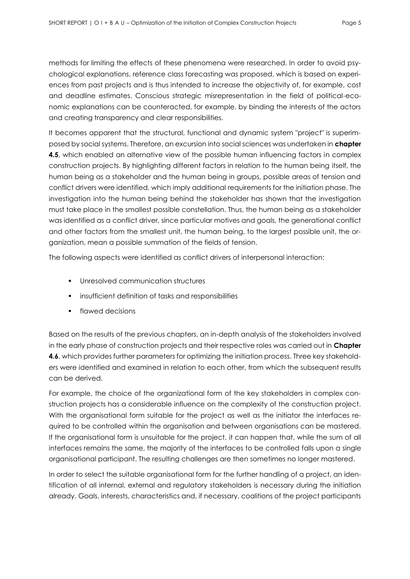methods for limiting the effects of these phenomena were researched. In order to avoid psychological explanations, reference class forecasting was proposed, which is based on experiences from past projects and is thus intended to increase the objectivity of, for example, cost and deadline estimates. Conscious strategic misrepresentation in the field of political-economic explanations can be counteracted, for example, by binding the interests of the actors and creating transparency and clear responsibilities.

It becomes apparent that the structural, functional and dynamic system "project" is superimposed by social systems. Therefore, an excursion into social sciences was undertaken in **chapter 4.5**, which enabled an alternative view of the possible human influencing factors in complex construction projects. By highlighting different factors in relation to the human being itself, the human being as a stakeholder and the human being in groups, possible areas of tension and conflict drivers were identified, which imply additional requirements for the initiation phase. The investigation into the human being behind the stakeholder has shown that the investigation must take place in the smallest possible constellation. Thus, the human being as a stakeholder was identified as a conflict driver, since particular motives and goals, the generational conflict and other factors from the smallest unit, the human being, to the largest possible unit, the organization, mean a possible summation of the fields of tension.

The following aspects were identified as conflict drivers of interpersonal interaction:

- **Unresolved communication structures**
- **EXEDENT** insufficient definition of tasks and responsibilities
- flawed decisions

Based on the results of the previous chapters, an in-depth analysis of the stakeholders involved in the early phase of construction projects and their respective roles was carried out in **Chapter 4.6**, which provides further parameters for optimizing the initiation process. Three key stakeholders were identified and examined in relation to each other, from which the subsequent results can be derived.

For example, the choice of the organizational form of the key stakeholders in complex construction projects has a considerable influence on the complexity of the construction project. With the organisational form suitable for the project as well as the initiator the interfaces required to be controlled within the organisation and between organisations can be mastered. If the organisational form is unsuitable for the project, it can happen that, while the sum of all interfaces remains the same, the majority of the interfaces to be controlled falls upon a single organisational participant. The resulting challenges are then sometimes no longer mastered.

In order to select the suitable organisational form for the further handling of a project, an identification of all internal, external and regulatory stakeholders is necessary during the initiation already. Goals, interests, characteristics and, if necessary, coalitions of the project participants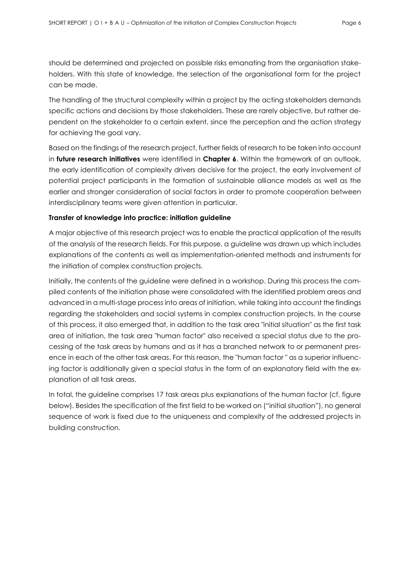should be determined and projected on possible risks emanating from the organisation stakeholders. With this state of knowledge, the selection of the organisational form for the project can be made.

The handling of the structural complexity within a project by the acting stakeholders demands specific actions and decisions by those stakeholders. These are rarely objective, but rather dependent on the stakeholder to a certain extent, since the perception and the action strategy for achieving the goal vary.

Based on the findings of the research project, further fields of research to be taken into account in **future research initiatives** were identified in **Chapter 6**. Within the framework of an outlook, the early identification of complexity drivers decisive for the project, the early involvement of potential project participants in the formation of sustainable alliance models as well as the earlier and stronger consideration of social factors in order to promote cooperation between interdisciplinary teams were given attention in particular.

### **Transfer of knowledge into practice: initiation guideline**

A major objective of this research project was to enable the practical application of the results of the analysis of the research fields. For this purpose, a guideline was drawn up which includes explanations of the contents as well as implementation-oriented methods and instruments for the initiation of complex construction projects.

Initially, the contents of the guideline were defined in a workshop. During this process the compiled contents of the initiation phase were consolidated with the identified problem areas and advanced in a multi-stage process into areas of initiation, while taking into account the findings regarding the stakeholders and social systems in complex construction projects. In the course of this process, it also emerged that, in addition to the task area "initial situation" as the first task area of initiation, the task area "human factor" also received a special status due to the processing of the task areas by humans and as it has a branched network to or permanent presence in each of the other task areas. For this reason, the "human factor " as a superior influencing factor is additionally given a special status in the form of an explanatory field with the explanation of all task areas.

In total, the guideline comprises 17 task areas plus explanations of the human factor (cf. figure below). Besides the specification of the first field to be worked on ("initial situation"), no general sequence of work is fixed due to the uniqueness and complexity of the addressed projects in building construction.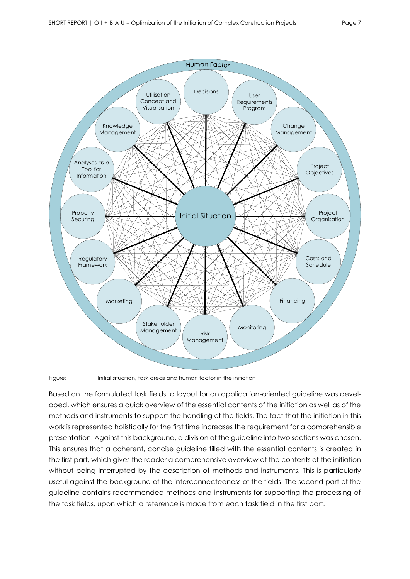

Figure: Initial situation, task areas and human factor in the initiation

Based on the formulated task fields, a layout for an application-oriented guideline was developed, which ensures a quick overview of the essential contents of the initiation as well as of the methods and instruments to support the handling of the fields. The fact that the initiation in this work is represented holistically for the first time increases the requirement for a comprehensible presentation. Against this background, a division of the guideline into two sections was chosen. This ensures that a coherent, concise guideline filled with the essential contents is created in the first part, which gives the reader a comprehensive overview of the contents of the initiation without being interrupted by the description of methods and instruments. This is particularly useful against the background of the interconnectedness of the fields. The second part of the guideline contains recommended methods and instruments for supporting the processing of the task fields, upon which a reference is made from each task field in the first part.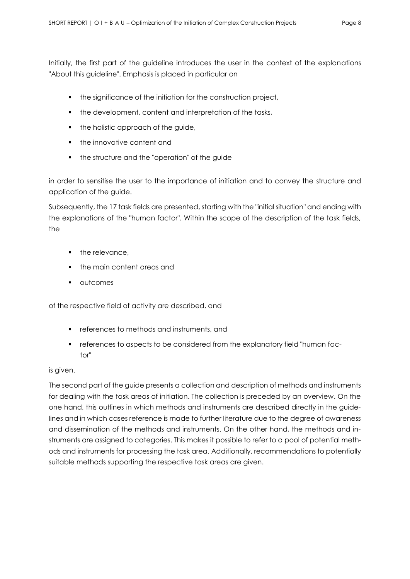Initially, the first part of the guideline introduces the user in the context of the explanations "About this guideline". Emphasis is placed in particular on

- the significance of the initiation for the construction project,
- the development, content and interpretation of the tasks,
- the holistic approach of the guide,
- **the innovative content and**
- the structure and the "operation" of the guide

in order to sensitise the user to the importance of initiation and to convey the structure and application of the guide.

Subsequently, the 17 task fields are presented, starting with the "initial situation" and ending with the explanations of the "human factor". Within the scope of the description of the task fields, the

- the relevance,
- the main content areas and
- **•** outcomes

of the respective field of activity are described, and

- **F** references to methods and instruments, and
- references to aspects to be considered from the explanatory field "human factor"

### is given.

The second part of the guide presents a collection and description of methods and instruments for dealing with the task areas of initiation. The collection is preceded by an overview. On the one hand, this outlines in which methods and instruments are described directly in the guidelines and in which cases reference is made to further literature due to the degree of awareness and dissemination of the methods and instruments. On the other hand, the methods and instruments are assigned to categories. This makes it possible to refer to a pool of potential methods and instruments for processing the task area. Additionally, recommendations to potentially suitable methods supporting the respective task areas are given.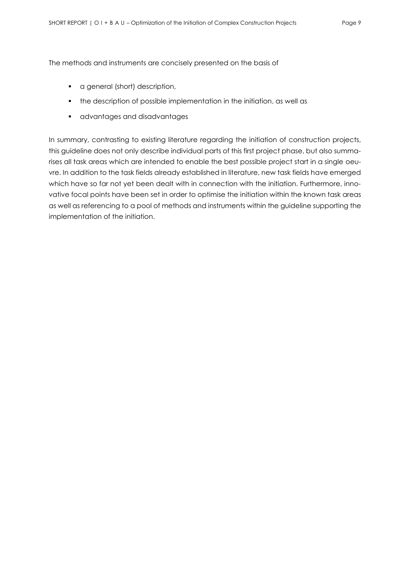The methods and instruments are concisely presented on the basis of

- **a** a general (short) description,
- the description of possible implementation in the initiation, as well as
- **a** advantages and disadvantages

In summary, contrasting to existing literature regarding the initiation of construction projects, this guideline does not only describe individual parts of this first project phase, but also summarises all task areas which are intended to enable the best possible project start in a single oeuvre. In addition to the task fields already established in literature, new task fields have emerged which have so far not yet been dealt with in connection with the initiation. Furthermore, innovative focal points have been set in order to optimise the initiation within the known task areas as well as referencing to a pool of methods and instruments within the guideline supporting the implementation of the initiation.